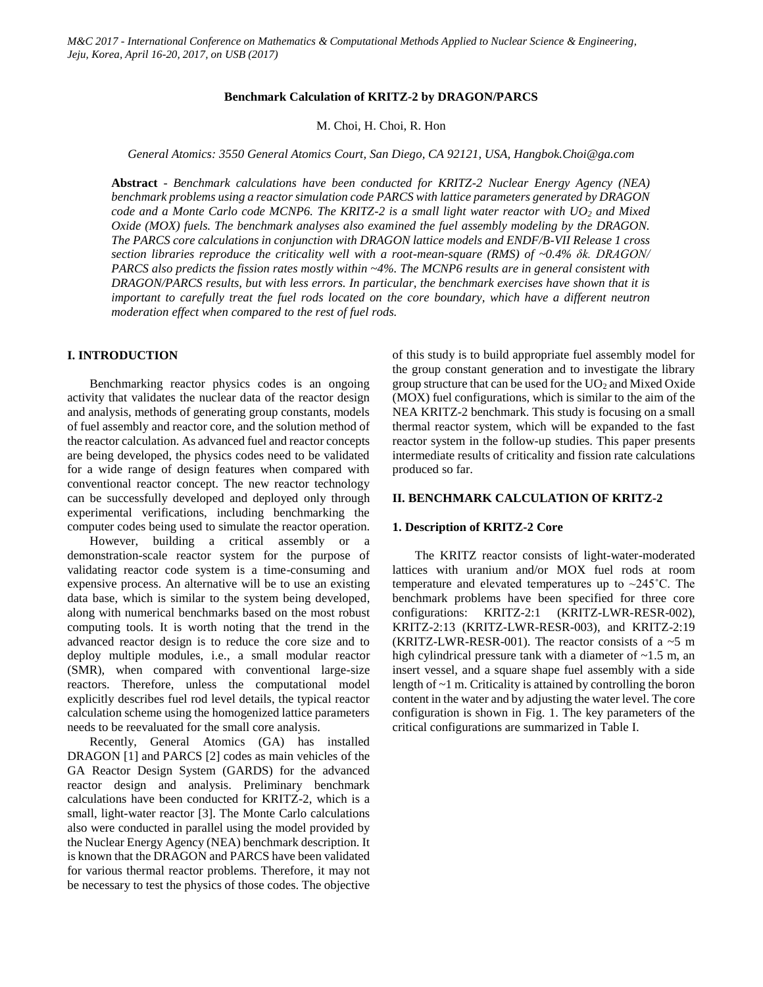## **Benchmark Calculation of KRITZ-2 by DRAGON/PARCS**

M. Choi, H. Choi, R. Hon

*General Atomics: 3550 General Atomics Court, San Diego, CA 92121, USA, Hangbok.Choi@ga.com*

**Abstract** - *Benchmark calculations have been conducted for KRITZ-2 Nuclear Energy Agency (NEA) benchmark problems using a reactor simulation code PARCS with lattice parameters generated by DRAGON code and a Monte Carlo code MCNP6. The KRITZ-2 is a small light water reactor with UO<sup>2</sup> and Mixed Oxide (MOX) fuels. The benchmark analyses also examined the fuel assembly modeling by the DRAGON. The PARCS core calculations in conjunction with DRAGON lattice models and ENDF/B-VII Release 1 cross section libraries reproduce the criticality well with a root-mean-square (RMS) of ~0.4% δk. DRAGON/ PARCS also predicts the fission rates mostly within ~4%. The MCNP6 results are in general consistent with DRAGON/PARCS results, but with less errors. In particular, the benchmark exercises have shown that it is important to carefully treat the fuel rods located on the core boundary, which have a different neutron moderation effect when compared to the rest of fuel rods.*

## **I. INTRODUCTION**

Benchmarking reactor physics codes is an ongoing activity that validates the nuclear data of the reactor design and analysis, methods of generating group constants, models of fuel assembly and reactor core, and the solution method of the reactor calculation. As advanced fuel and reactor concepts are being developed, the physics codes need to be validated for a wide range of design features when compared with conventional reactor concept. The new reactor technology can be successfully developed and deployed only through experimental verifications, including benchmarking the computer codes being used to simulate the reactor operation.

However, building a critical assembly or a demonstration-scale reactor system for the purpose of validating reactor code system is a time-consuming and expensive process. An alternative will be to use an existing data base, which is similar to the system being developed, along with numerical benchmarks based on the most robust computing tools. It is worth noting that the trend in the advanced reactor design is to reduce the core size and to deploy multiple modules, i.e., a small modular reactor (SMR), when compared with conventional large-size reactors. Therefore, unless the computational model explicitly describes fuel rod level details, the typical reactor calculation scheme using the homogenized lattice parameters needs to be reevaluated for the small core analysis.

Recently, General Atomics (GA) has installed DRAGON [1] and PARCS [2] codes as main vehicles of the GA Reactor Design System (GARDS) for the advanced reactor design and analysis. Preliminary benchmark calculations have been conducted for KRITZ-2, which is a small, light-water reactor [3]. The Monte Carlo calculations also were conducted in parallel using the model provided by the Nuclear Energy Agency (NEA) benchmark description. It is known that the DRAGON and PARCS have been validated for various thermal reactor problems. Therefore, it may not be necessary to test the physics of those codes. The objective

of this study is to build appropriate fuel assembly model for the group constant generation and to investigate the library group structure that can be used for the  $UO<sub>2</sub>$  and Mixed Oxide (MOX) fuel configurations, which is similar to the aim of the NEA KRITZ-2 benchmark. This study is focusing on a small thermal reactor system, which will be expanded to the fast reactor system in the follow-up studies. This paper presents intermediate results of criticality and fission rate calculations produced so far.

### **II. BENCHMARK CALCULATION OF KRITZ-2**

### **1. Description of KRITZ-2 Core**

The KRITZ reactor consists of light-water-moderated lattices with uranium and/or MOX fuel rods at room temperature and elevated temperatures up to ~245˚C. The benchmark problems have been specified for three core configurations: KRITZ-2:1 (KRITZ-LWR-RESR-002), KRITZ-2:13 (KRITZ-LWR-RESR-003), and KRITZ-2:19 (KRITZ-LWR-RESR-001). The reactor consists of a  $\sim$ 5 m high cylindrical pressure tank with a diameter of ~1.5 m, an insert vessel, and a square shape fuel assembly with a side length of ~1 m. Criticality is attained by controlling the boron content in the water and by adjusting the water level. The core configuration is shown in Fig. 1. The key parameters of the critical configurations are summarized in Table I.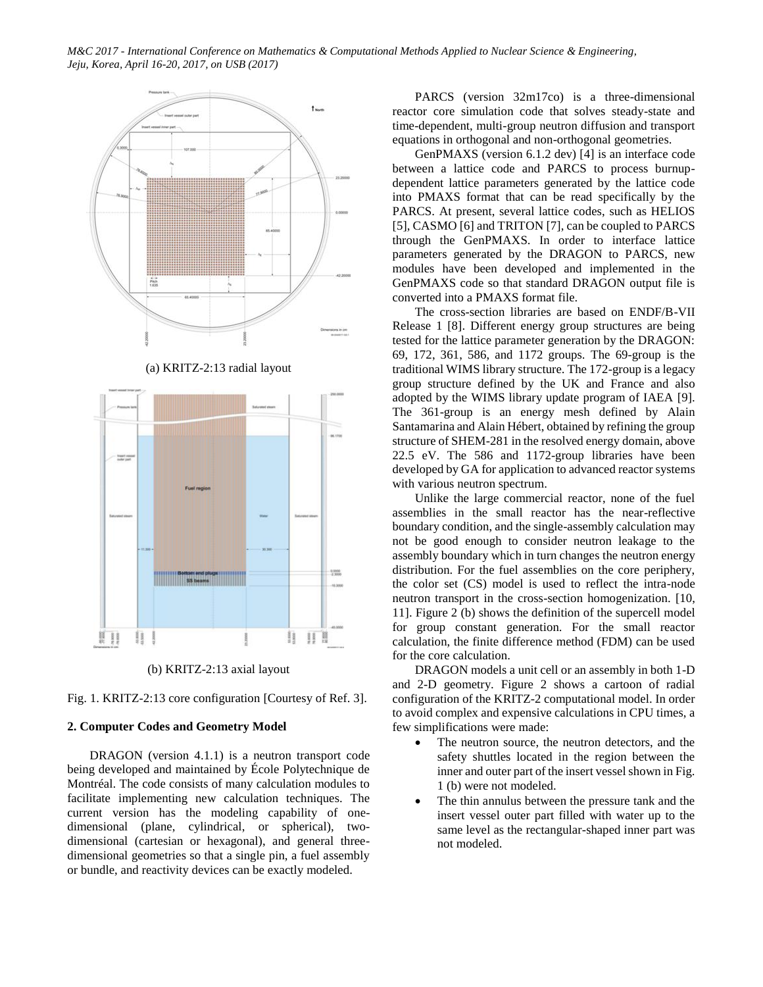

(a) KRITZ-2:13 radial layout



(b) KRITZ-2:13 axial layout

Fig. 1. KRITZ-2:13 core configuration [Courtesy of Ref. 3].

## **2. Computer Codes and Geometry Model**

DRAGON (version 4.1.1) is a neutron transport code being developed and maintained by École Polytechnique de Montréal. The code consists of many calculation modules to facilitate implementing new calculation techniques. The current version has the modeling capability of onedimensional (plane, cylindrical, or spherical), twodimensional (cartesian or hexagonal), and general threedimensional geometries so that a single pin, a fuel assembly or bundle, and reactivity devices can be exactly modeled.

PARCS (version 32m17co) is a three-dimensional reactor core simulation code that solves steady-state and time-dependent, multi-group neutron diffusion and transport equations in orthogonal and non-orthogonal geometries.

GenPMAXS (version 6.1.2 dev) [4] is an interface code between a lattice code and PARCS to process burnupdependent lattice parameters generated by the lattice code into PMAXS format that can be read specifically by the PARCS. At present, several lattice codes, such as HELIOS [5], CASMO [6] and TRITON [7], can be coupled to PARCS through the GenPMAXS. In order to interface lattice parameters generated by the DRAGON to PARCS, new modules have been developed and implemented in the GenPMAXS code so that standard DRAGON output file is converted into a PMAXS format file.

The cross-section libraries are based on ENDF/B-VII Release 1 [8]. Different energy group structures are being tested for the lattice parameter generation by the DRAGON: 69, 172, 361, 586, and 1172 groups. The 69-group is the traditional WIMS library structure. The 172-group is a legacy group structure defined by the UK and France and also adopted by the WIMS library update program of IAEA [9]. The 361-group is an energy mesh defined by Alain Santamarina and Alain Hébert, obtained by refining the group structure of SHEM-281 in the resolved energy domain, above 22.5 eV. The 586 and 1172-group libraries have been developed by GA for application to advanced reactor systems with various neutron spectrum.

Unlike the large commercial reactor, none of the fuel assemblies in the small reactor has the near-reflective boundary condition, and the single-assembly calculation may not be good enough to consider neutron leakage to the assembly boundary which in turn changes the neutron energy distribution. For the fuel assemblies on the core periphery, the color set (CS) model is used to reflect the intra-node neutron transport in the cross-section homogenization. [10, 11]. Figure 2 (b) shows the definition of the supercell model for group constant generation. For the small reactor calculation, the finite difference method (FDM) can be used for the core calculation.

DRAGON models a unit cell or an assembly in both 1-D and 2-D geometry. Figure 2 shows a cartoon of radial configuration of the KRITZ-2 computational model. In order to avoid complex and expensive calculations in CPU times, a few simplifications were made:

- The neutron source, the neutron detectors, and the safety shuttles located in the region between the inner and outer part of the insert vessel shown in Fig. 1 (b) were not modeled.
- The thin annulus between the pressure tank and the insert vessel outer part filled with water up to the same level as the rectangular-shaped inner part was not modeled.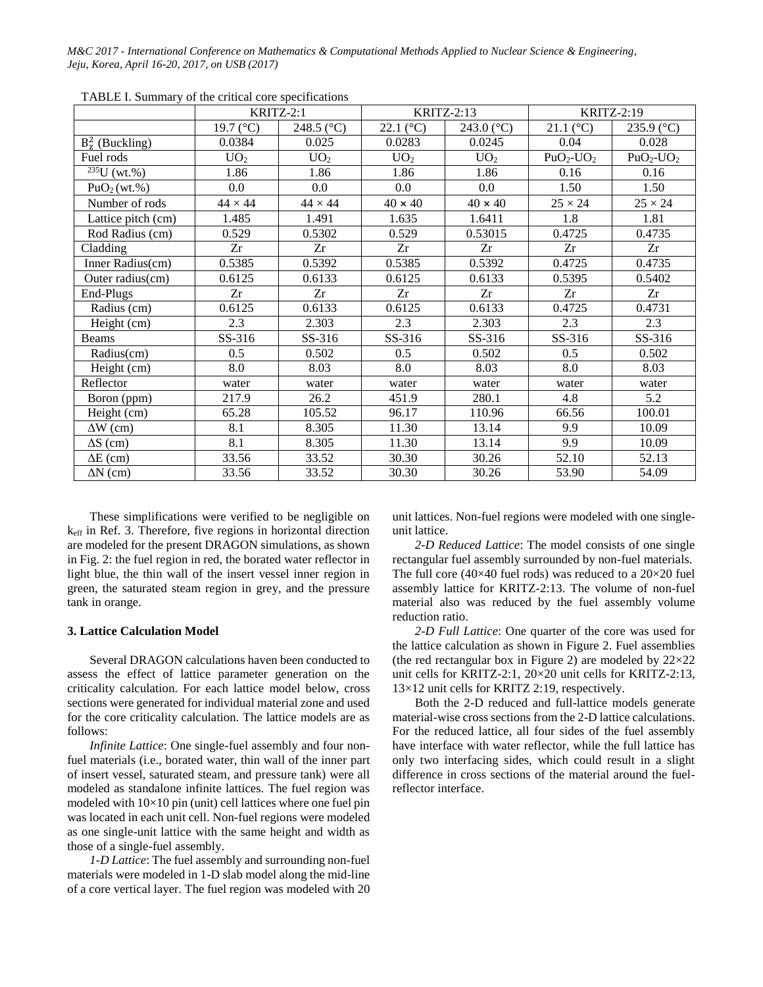|                          | KRITZ-2:1            |                 | <b>KRITZ-2:13</b>  |                 | <b>KRITZ-2:19</b>  |                |
|--------------------------|----------------------|-----------------|--------------------|-----------------|--------------------|----------------|
|                          | 19.7 ( $^{\circ}$ C) | 248.5 (°C)      | 22.1 $(^{\circ}C)$ | 243.0 (°C)      | 21.1 $(^{\circ}C)$ | 235.9 (°C)     |
| $B_z^2$ (Buckling)       | 0.0384               | 0.025           | 0.0283             | 0.0245          | 0.04               | 0.028          |
| Fuel rods                | UO <sub>2</sub>      | UO <sub>2</sub> | UO <sub>2</sub>    | UO <sub>2</sub> | $PuO2-UO2$         | $PuO2-UO2$     |
| $\sqrt[235]{U (wt. \%)}$ | 1.86                 | 1.86            | 1.86               | 1.86            | 0.16               | 0.16           |
| PuO <sub>2</sub> (wt.%)  | 0.0                  | 0.0             | 0.0                | 0.0             | 1.50               | 1.50           |
| Number of rods           | $44 \times 44$       | $44 \times 44$  | $40 \times 40$     | $40 \times 40$  | $25 \times 24$     | $25 \times 24$ |
| Lattice pitch (cm)       | 1.485                | 1.491           | 1.635              | 1.6411          | 1.8                | 1.81           |
| Rod Radius (cm)          | 0.529                | 0.5302          | 0.529              | 0.53015         | 0.4725             | 0.4735         |
| Cladding                 | Zr                   | Zr              | Zr                 | Zr              | Zr                 | Zr             |
| Inner Radius(cm)         | 0.5385               | 0.5392          | 0.5385             | 0.5392          | 0.4725             | 0.4735         |
| Outer radius(cm)         | 0.6125               | 0.6133          | 0.6125             | 0.6133          | 0.5395             | 0.5402         |
| End-Plugs                | Zr                   | Zr              | Zr                 | Zr              | Zr                 | Zr             |
| Radius (cm)              | 0.6125               | 0.6133          | 0.6125             | 0.6133          | 0.4725             | 0.4731         |
| Height (cm)              | 2.3                  | 2.303           | 2.3                | 2.303           | 2.3                | 2.3            |
| <b>Beams</b>             | SS-316               | SS-316          | SS-316             | SS-316          | SS-316             | SS-316         |
| Radius(cm)               | 0.5                  | 0.502           | 0.5                | 0.502           | 0.5                | 0.502          |
| Height (cm)              | 8.0                  | 8.03            | 8.0                | 8.03            | 8.0                | 8.03           |
| Reflector                | water                | water           | water              | water           | water              | water          |
| Boron (ppm)              | 217.9                | 26.2            | 451.9              | 280.1           | 4.8                | 5.2            |
| Height (cm)              | 65.28                | 105.52          | 96.17              | 110.96          | 66.56              | 100.01         |
| $\Delta W$ (cm)          | 8.1                  | 8.305           | 11.30              | 13.14           | 9.9                | 10.09          |
| $\Delta S$ (cm)          | 8.1                  | 8.305           | 11.30              | 13.14           | 9.9                | 10.09          |
| $\Delta E$ (cm)          | 33.56                | 33.52           | 30.30              | 30.26           | 52.10              | 52.13          |
| $\Delta N$ (cm)          | 33.56                | 33.52           | 30.30              | 30.26           | 53.90              | 54.09          |

TABLE I. Summary of the critical core specifications

These simplifications were verified to be negligible on keff in Ref. 3. Therefore, five regions in horizontal direction are modeled for the present DRAGON simulations, as shown in Fig. 2: the fuel region in red, the borated water reflector in light blue, the thin wall of the insert vessel inner region in green, the saturated steam region in grey, and the pressure tank in orange.

## **3. Lattice Calculation Model**

Several DRAGON calculations haven been conducted to assess the effect of lattice parameter generation on the criticality calculation. For each lattice model below, cross sections were generated for individual material zone and used for the core criticality calculation. The lattice models are as follows:

*Infinite Lattice*: One single-fuel assembly and four nonfuel materials (i.e., borated water, thin wall of the inner part of insert vessel, saturated steam, and pressure tank) were all modeled as standalone infinite lattices. The fuel region was modeled with  $10\times10$  pin (unit) cell lattices where one fuel pin was located in each unit cell. Non-fuel regions were modeled as one single-unit lattice with the same height and width as those of a single-fuel assembly.

*1-D Lattice*: The fuel assembly and surrounding non-fuel materials were modeled in 1-D slab model along the mid-line of a core vertical layer. The fuel region was modeled with 20 unit lattices. Non-fuel regions were modeled with one singleunit lattice.

*2-D Reduced Lattice*: The model consists of one single rectangular fuel assembly surrounded by non-fuel materials. The full core (40×40 fuel rods) was reduced to a 20×20 fuel assembly lattice for KRITZ-2:13. The volume of non-fuel material also was reduced by the fuel assembly volume reduction ratio.

*2-D Full Lattice*: One quarter of the core was used for the lattice calculation as shown in Figure 2. Fuel assemblies (the red rectangular box in Figure 2) are modeled by 22×22 unit cells for KRITZ-2:1, 20×20 unit cells for KRITZ-2:13, 13×12 unit cells for KRITZ 2:19, respectively.

Both the 2-D reduced and full-lattice models generate material-wise cross sections from the 2-D lattice calculations. For the reduced lattice, all four sides of the fuel assembly have interface with water reflector, while the full lattice has only two interfacing sides, which could result in a slight difference in cross sections of the material around the fuelreflector interface.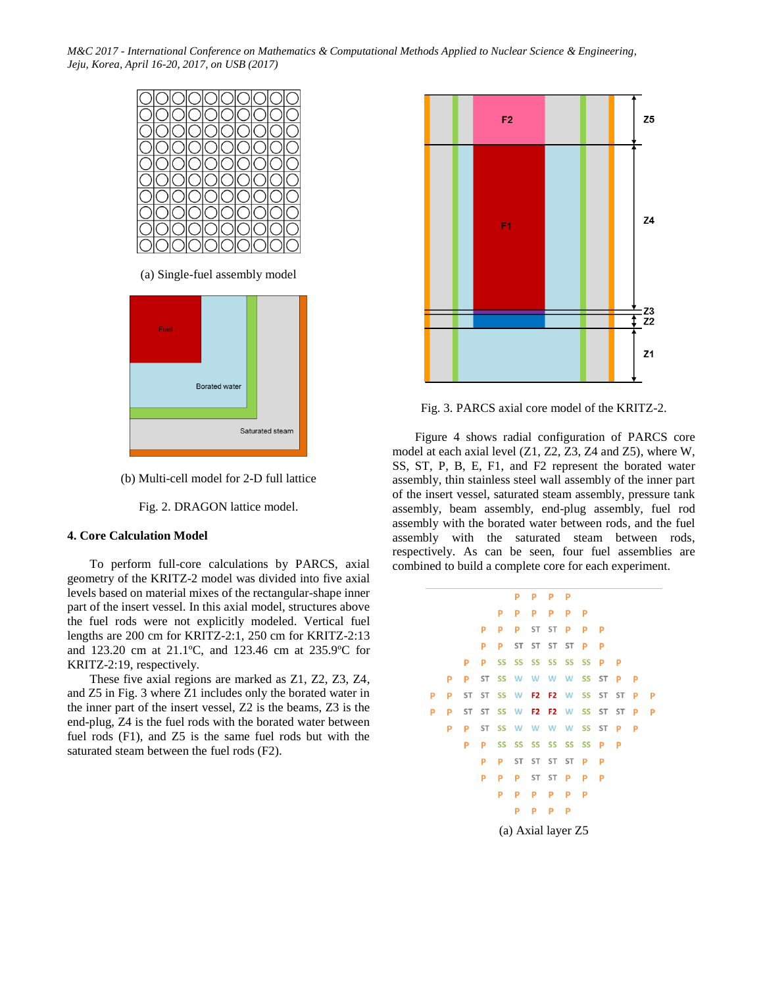

(a) Single-fuel assembly model



(b) Multi-cell model for 2-D full lattice

Fig. 2. DRAGON lattice model.

### **4. Core Calculation Model**

To perform full-core calculations by PARCS, axial geometry of the KRITZ-2 model was divided into five axial levels based on material mixes of the rectangular-shape inner part of the insert vessel. In this axial model, structures above the fuel rods were not explicitly modeled. Vertical fuel lengths are 200 cm for KRITZ-2:1, 250 cm for KRITZ-2:13 and 123.20 cm at 21.1ºC, and 123.46 cm at 235.9ºC for KRITZ-2:19, respectively.

These five axial regions are marked as Z1, Z2, Z3, Z4, and Z5 in Fig. 3 where Z1 includes only the borated water in the inner part of the insert vessel, Z2 is the beams, Z3 is the end-plug, Z4 is the fuel rods with the borated water between fuel rods (F1), and Z5 is the same fuel rods but with the saturated steam between the fuel rods (F2).



Fig. 3. PARCS axial core model of the KRITZ-2.

Figure 4 shows radial configuration of PARCS core model at each axial level (Z1, Z2, Z3, Z4 and Z5), where W, SS, ST, P, B, E, F1, and F2 represent the borated water assembly, thin stainless steel wall assembly of the inner part of the insert vessel, saturated steam assembly, pressure tank assembly, beam assembly, end-plug assembly, fuel rod assembly with the borated water between rods, and the fuel assembly with the saturated steam between rods, respectively. As can be seen, four fuel assemblies are combined to build a complete core for each experiment.

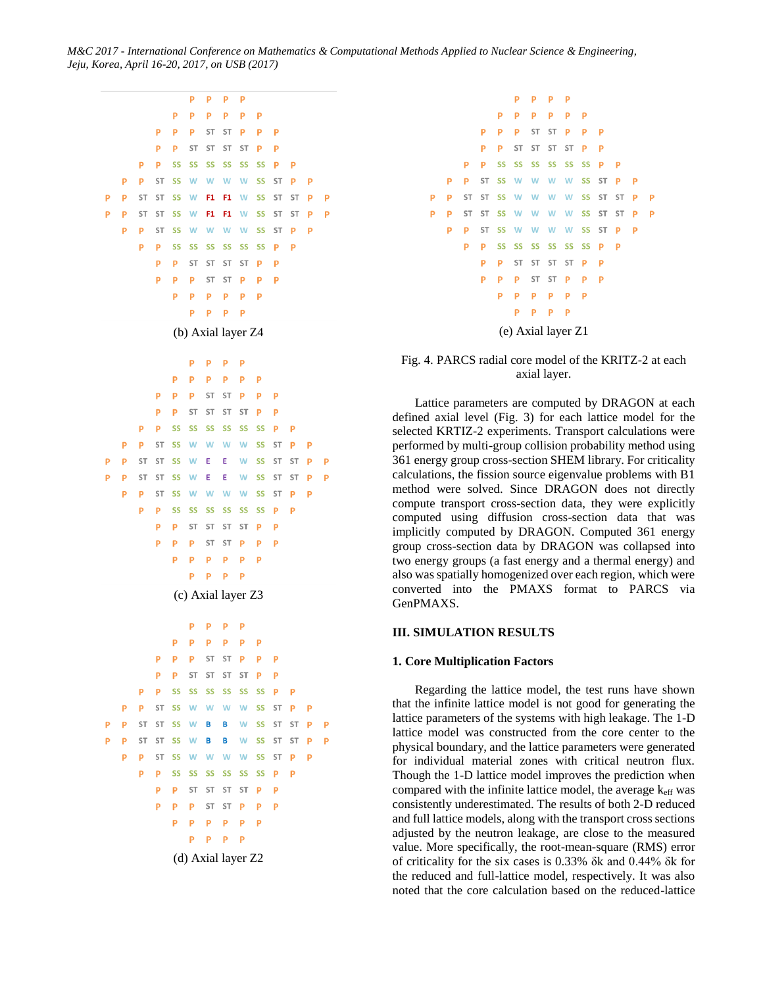



Fig. 4. PARCS radial core model of the KRITZ-2 at each axial layer.

Lattice parameters are computed by DRAGON at each defined axial level (Fig. 3) for each lattice model for the selected KRTIZ-2 experiments. Transport calculations were performed by multi-group collision probability method using 361 energy group cross-section SHEM library. For criticality calculations, the fission source eigenvalue problems with B1 method were solved. Since DRAGON does not directly compute transport cross-section data, they were explicitly computed using diffusion cross-section data that was implicitly computed by DRAGON. Computed 361 energy group cross-section data by DRAGON was collapsed into two energy groups (a fast energy and a thermal energy) and also was spatially homogenized over each region, which were converted into the PMAXS format to PARCS via GenPMAXS.

## **III. SIMULATION RESULTS**

### **1. Core Multiplication Factors**

Regarding the lattice model, the test runs have shown that the infinite lattice model is not good for generating the lattice parameters of the systems with high leakage. The 1-D lattice model was constructed from the core center to the physical boundary, and the lattice parameters were generated for individual material zones with critical neutron flux. Though the 1-D lattice model improves the prediction when compared with the infinite lattice model, the average  $k_{\text{eff}}$  was consistently underestimated. The results of both 2-D reduced and full lattice models, along with the transport cross sections adjusted by the neutron leakage, are close to the measured value. More specifically, the root-mean-square (RMS) error of criticality for the six cases is 0.33% δk and 0.44% δk for the reduced and full-lattice model, respectively. It was also noted that the core calculation based on the reduced-lattice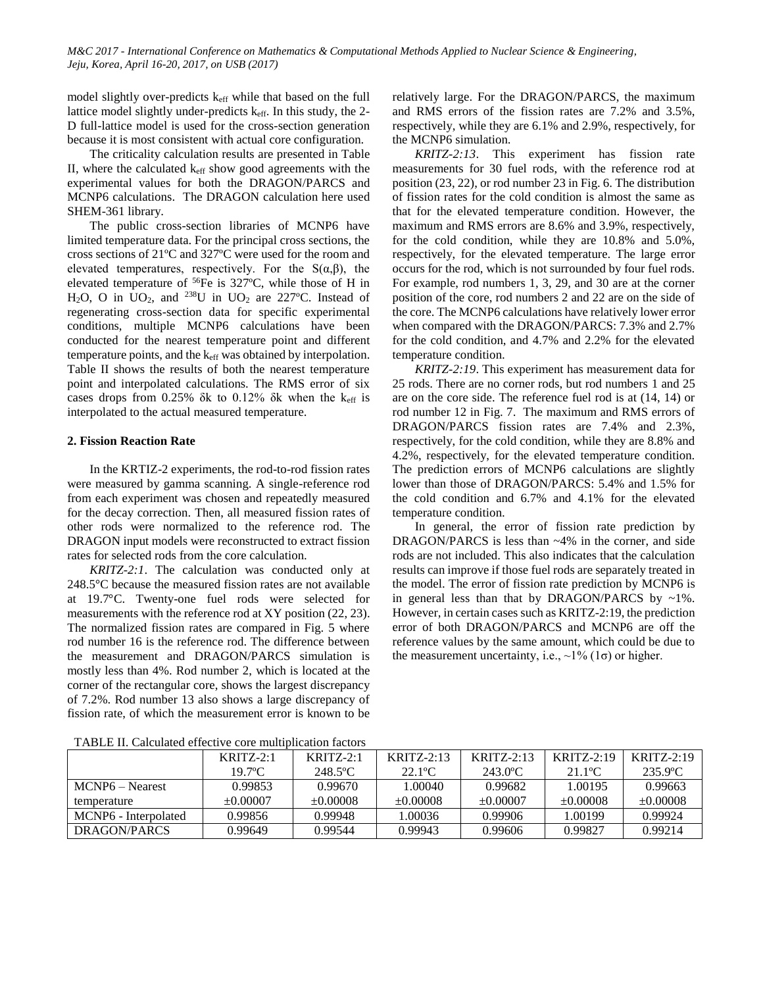model slightly over-predicts keff while that based on the full lattice model slightly under-predicts keff. In this study, the 2- D full-lattice model is used for the cross-section generation because it is most consistent with actual core configuration.

The criticality calculation results are presented in Table II, where the calculated  $k_{\text{eff}}$  show good agreements with the experimental values for both the DRAGON/PARCS and MCNP6 calculations. The DRAGON calculation here used SHEM-361 library.

The public cross-section libraries of MCNP6 have limited temperature data. For the principal cross sections, the cross sections of 21ºC and 327ºC were used for the room and elevated temperatures, respectively. For the  $S(\alpha,\beta)$ , the elevated temperature of  ${}^{56}Fe$  is 327°C, while those of H in H<sub>2</sub>O, O in UO<sub>2</sub>, and <sup>238</sup>U in UO<sub>2</sub> are 227°C. Instead of regenerating cross-section data for specific experimental conditions, multiple MCNP6 calculations have been conducted for the nearest temperature point and different temperature points, and the keff was obtained by interpolation. Table II shows the results of both the nearest temperature point and interpolated calculations. The RMS error of six cases drops from 0.25% δk to 0.12% δk when the  $k_{\text{eff}}$  is interpolated to the actual measured temperature.

## **2. Fission Reaction Rate**

In the KRTIZ-2 experiments, the rod-to-rod fission rates were measured by gamma scanning. A single-reference rod from each experiment was chosen and repeatedly measured for the decay correction. Then, all measured fission rates of other rods were normalized to the reference rod. The DRAGON input models were reconstructed to extract fission rates for selected rods from the core calculation.

*KRITZ-2:1*. The calculation was conducted only at 248.5°C because the measured fission rates are not available at 19.7°C. Twenty-one fuel rods were selected for measurements with the reference rod at XY position (22, 23). The normalized fission rates are compared in Fig. 5 where rod number 16 is the reference rod. The difference between the measurement and DRAGON/PARCS simulation is mostly less than 4%. Rod number 2, which is located at the corner of the rectangular core, shows the largest discrepancy of 7.2%. Rod number 13 also shows a large discrepancy of fission rate, of which the measurement error is known to be relatively large. For the DRAGON/PARCS, the maximum and RMS errors of the fission rates are 7.2% and 3.5%, respectively, while they are 6.1% and 2.9%, respectively, for the MCNP6 simulation.

*KRITZ-2:13*. This experiment has fission rate measurements for 30 fuel rods, with the reference rod at position (23, 22), or rod number 23 in Fig. 6. The distribution of fission rates for the cold condition is almost the same as that for the elevated temperature condition. However, the maximum and RMS errors are 8.6% and 3.9%, respectively, for the cold condition, while they are 10.8% and 5.0%, respectively, for the elevated temperature. The large error occurs for the rod, which is not surrounded by four fuel rods. For example, rod numbers 1, 3, 29, and 30 are at the corner position of the core, rod numbers 2 and 22 are on the side of the core. The MCNP6 calculations have relatively lower error when compared with the DRAGON/PARCS: 7.3% and 2.7% for the cold condition, and 4.7% and 2.2% for the elevated temperature condition.

*KRITZ-2:19*. This experiment has measurement data for 25 rods. There are no corner rods, but rod numbers 1 and 25 are on the core side. The reference fuel rod is at (14, 14) or rod number 12 in Fig. 7. The maximum and RMS errors of DRAGON/PARCS fission rates are 7.4% and 2.3%, respectively, for the cold condition, while they are 8.8% and 4.2%, respectively, for the elevated temperature condition. The prediction errors of MCNP6 calculations are slightly lower than those of DRAGON/PARCS: 5.4% and 1.5% for the cold condition and 6.7% and 4.1% for the elevated temperature condition.

In general, the error of fission rate prediction by DRAGON/PARCS is less than ~4% in the corner, and side rods are not included. This also indicates that the calculation results can improve if those fuel rods are separately treated in the model. The error of fission rate prediction by MCNP6 is in general less than that by DRAGON/PARCS by  $~1\%$ . However, in certain cases such as KRITZ-2:19, the prediction error of both DRAGON/PARCS and MCNP6 are off the reference values by the same amount, which could be due to the measurement uncertainty, i.e.,  $\sim$ 1% (1 $\sigma$ ) or higher.

|                      | $KRITZ-2:1$      | $KRITZ-2:1$   | $KRITZ-2:13$     | $KRITZ-2:13$         | $KRITZ-2:19$          | $KRITZ-2:19$  |  |  |  |  |
|----------------------|------------------|---------------|------------------|----------------------|-----------------------|---------------|--|--|--|--|
|                      | $19.7^{\circ}$ C | 248.5°C       | $22.1^{\circ}$ C | 243.0 <sup>o</sup> C | $21.1$ <sup>o</sup> C | 235.9°C       |  |  |  |  |
| MCNP6 – Nearest      | 0.99853          | 0.99670       | 1.00040          | 0.99682              | 1.00195               | 0.99663       |  |  |  |  |
| temperature          | $\pm 0.00007$    | $\pm 0.00008$ | $\pm 0.00008$    | $\pm 0.00007$        | $\pm 0.00008$         | $\pm 0.00008$ |  |  |  |  |
| MCNP6 - Internolated | 0.99856          | 0.99948       | .00036           | 0.99906              | 1.00199               | 0.99924       |  |  |  |  |
| DRAGON/PARCS         | 0.99649          | 0.99544       | 0.99943          | 0.99606              | 0.99827               | 0.99214       |  |  |  |  |

TABLE II. Calculated effective core multiplication factors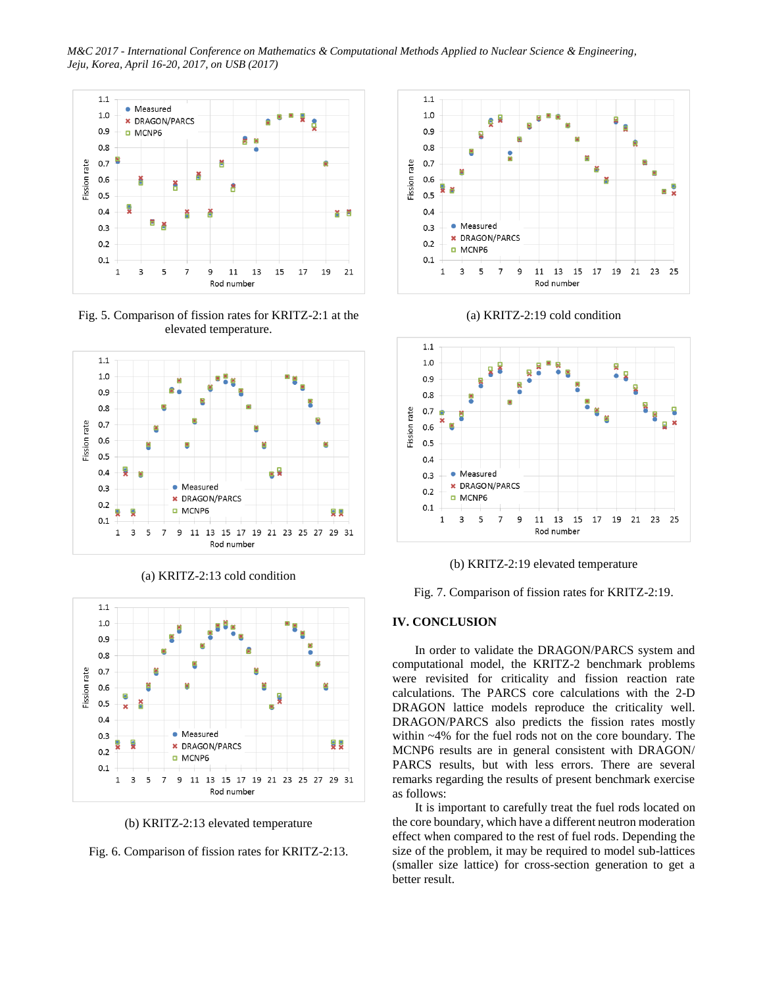*M&C 2017 - International Conference on Mathematics & Computational Methods Applied to Nuclear Science & Engineering, Jeju, Korea, April 16-20, 2017, on USB (2017)*



Fig. 5. Comparison of fission rates for KRITZ-2:1 at the elevated temperature.



(a) KRITZ-2:13 cold condition



(b) KRITZ-2:13 elevated temperature

Fig. 6. Comparison of fission rates for KRITZ-2:13.







(b) KRITZ-2:19 elevated temperature

Fig. 7. Comparison of fission rates for KRITZ-2:19.

## **IV. CONCLUSION**

In order to validate the DRAGON/PARCS system and computational model, the KRITZ-2 benchmark problems were revisited for criticality and fission reaction rate calculations. The PARCS core calculations with the 2-D DRAGON lattice models reproduce the criticality well. DRAGON/PARCS also predicts the fission rates mostly within ~4% for the fuel rods not on the core boundary. The MCNP6 results are in general consistent with DRAGON/ PARCS results, but with less errors. There are several remarks regarding the results of present benchmark exercise as follows:

It is important to carefully treat the fuel rods located on the core boundary, which have a different neutron moderation effect when compared to the rest of fuel rods. Depending the size of the problem, it may be required to model sub-lattices (smaller size lattice) for cross-section generation to get a better result.